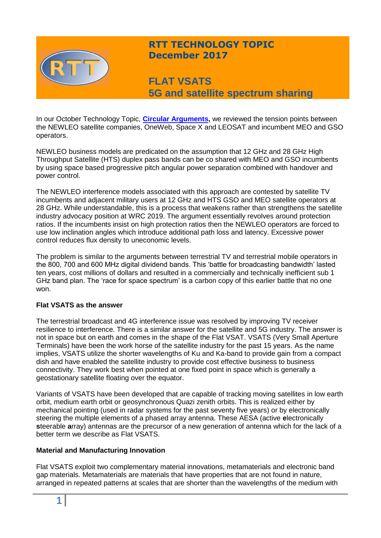

# **RTT TECHNOLOGY TOPIC December 2017**

**FLAT VSATS 5G and satellite spectrum sharing**

In our October Technology Topic, **[Circular Arguments,](http://www.rttonline.com/tt/TT2017_010.pdf)** we reviewed the tension points between the NEWLEO satellite companies, OneWeb, Space X and LEOSAT and incumbent MEO and GSO operators.

NEWLEO business models are predicated on the assumption that 12 GHz and 28 GHz High Throughput Satellite (HTS) duplex pass bands can be co shared with MEO and GSO incumbents by using space based progressive pitch angular power separation combined with handover and power control.

The NEWLEO interference models associated with this approach are contested by satellite TV incumbents and adjacent military users at 12 GHz and HTS GSO and MEO satellite operators at 28 GHz. While understandable, this is a process that weakens rather than strengthens the satellite industry advocacy position at WRC 2019. The argument essentially revolves around protection ratios. If the incumbents insist on high protection ratios then the NEWLEO operators are forced to use low inclination angles which introduce additional path loss and latency. Excessive power control reduces flux density to uneconomic levels.

The problem is similar to the arguments between terrestrial TV and terrestrial mobile operators in the 800, 700 and 600 MHz digital dividend bands. This 'battle for broadcasting bandwidth' lasted ten years, cost millions of dollars and resulted in a commercially and technically inefficient sub 1 GHz band plan. The 'race for space spectrum' is a carbon copy of this earlier battle that no one won.

### **Flat VSATS as the answer**

The terrestrial broadcast and 4G interference issue was resolved by improving TV receiver resilience to interference. There is a similar answer for the satellite and 5G industry. The answer is not in space but on earth and comes in the shape of the Flat VSAT. VSATS (Very Small Aperture Terminals) have been the work horse of the satellite industry for the past 15 years. As the name implies, VSATS utilize the shorter wavelengths of Ku and Ka-band to provide gain from a compact dish and have enabled the satellite industry to provide cost effective business to business connectivity. They work best when pointed at one fixed point in space which is generally a geostationary satellite floating over the equator.

Variants of VSATS have been developed that are capable of tracking moving satellites in low earth orbit, medium earth orbit or geosynchronous Quazi zenith orbits. This is realized either by mechanical pointing (used in radar systems for the past seventy five years) or by electronically steering the multiple elements of a phased array antenna. These AESA (active **e**lectronically **s**teerable **a**rray) antennas are the precursor of a new generation of antenna which for the lack of a better term we describe as Flat VSATS.

### **Material and Manufacturing Innovation**

Flat VSATS exploit two complementary material innovations, metamaterials and electronic band gap materials. Metamaterials are materials that have properties that are not found in nature, arranged in repeated patterns at scales that are shorter than the wavelengths of the medium with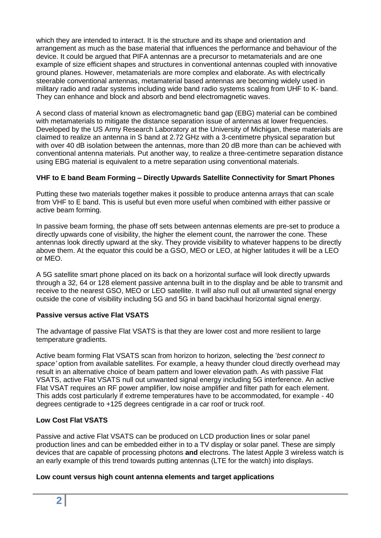which they are intended to interact. It is the structure and its shape and orientation and arrangement as much as the base material that influences the performance and behaviour of the device. It could be argued that PIFA antennas are a precursor to metamaterials and are one example of size efficient shapes and structures in conventional antennas coupled with innovative ground planes. However, metamaterials are more complex and elaborate. As with electrically steerable conventional antennas, metamaterial based antennas are becoming widely used in military radio and radar systems including wide band radio systems scaling from UHF to K- band. They can enhance and block and absorb and bend electromagnetic waves.

A second class of material known as electromagnetic band gap (EBG) material can be combined with metamaterials to mitigate the distance separation issue of antennas at lower frequencies. Developed by the US Army Research Laboratory at the University of Michigan, these materials are claimed to realize an antenna in S band at 2.72 GHz with a 3-centimetre physical separation but with over 40 dB isolation between the antennas, more than 20 dB more than can be achieved with conventional antenna materials. Put another way, to realize a three-centimetre separation distance using EBG material is equivalent to a metre separation using conventional materials.

# **VHF to E band Beam Forming – Directly Upwards Satellite Connectivity for Smart Phones**

Putting these two materials together makes it possible to produce antenna arrays that can scale from VHF to E band. This is useful but even more useful when combined with either passive or active beam forming.

In passive beam forming, the phase off sets between antennas elements are pre-set to produce a directly upwards cone of visibility, the higher the element count, the narrower the cone. These antennas look directly upward at the sky. They provide visibility to whatever happens to be directly above them. At the equator this could be a GSO, MEO or LEO, at higher latitudes it will be a LEO or MEO.

A 5G satellite smart phone placed on its back on a horizontal surface will look directly upwards through a 32, 64 or 128 element passive antenna built in to the display and be able to transmit and receive to the nearest GSO, MEO or LEO satellite. It will also null out all unwanted signal energy outside the cone of visibility including 5G and 5G in band backhaul horizontal signal energy.

### **Passive versus active Flat VSATS**

The advantage of passive Flat VSATS is that they are lower cost and more resilient to large temperature gradients.

Active beam forming Flat VSATS scan from horizon to horizon, selecting the '*best connect to space'* option from available satellites. For example, a heavy thunder cloud directly overhead may result in an alternative choice of beam pattern and lower elevation path. As with passive Flat VSATS, active Flat VSATS null out unwanted signal energy including 5G interference. An active Flat VSAT requires an RF power amplifier, low noise amplifier and filter path for each element. This adds cost particularly if extreme temperatures have to be accommodated, for example - 40 degrees centigrade to +125 degrees centigrade in a car roof or truck roof.

### **Low Cost Flat VSATS**

Passive and active Flat VSATS can be produced on LCD production lines or solar panel production lines and can be embedded either in to a TV display or solar panel. These are simply devices that are capable of processing photons **and** electrons. The latest Apple 3 wireless watch is an early example of this trend towards putting antennas (LTE for the watch) into displays.

### **Low count versus high count antenna elements and target applications**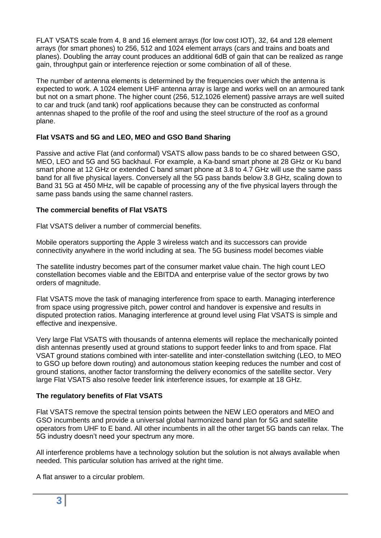FLAT VSATS scale from 4, 8 and 16 element arrays (for low cost IOT), 32, 64 and 128 element arrays (for smart phones) to 256, 512 and 1024 element arrays (cars and trains and boats and planes). Doubling the array count produces an additional 6dB of gain that can be realized as range gain, throughput gain or interference rejection or some combination of all of these.

The number of antenna elements is determined by the frequencies over which the antenna is expected to work. A 1024 element UHF antenna array is large and works well on an armoured tank but not on a smart phone. The higher count (256, 512,1026 element) passive arrays are well suited to car and truck (and tank) roof applications because they can be constructed as conformal antennas shaped to the profile of the roof and using the steel structure of the roof as a ground plane.

# **Flat VSATS and 5G and LEO, MEO and GSO Band Sharing**

Passive and active Flat (and conformal) VSATS allow pass bands to be co shared between GSO, MEO, LEO and 5G and 5G backhaul. For example, a Ka-band smart phone at 28 GHz or Ku band smart phone at 12 GHz or extended C band smart phone at 3.8 to 4.7 GHz will use the same pass band for all five physical layers. Conversely all the 5G pass bands below 3.8 GHz, scaling down to Band 31 5G at 450 MHz, will be capable of processing any of the five physical layers through the same pass bands using the same channel rasters.

# **The commercial benefits of Flat VSATS**

Flat VSATS deliver a number of commercial benefits.

Mobile operators supporting the Apple 3 wireless watch and its successors can provide connectivity anywhere in the world including at sea. The 5G business model becomes viable

The satellite industry becomes part of the consumer market value chain. The high count LEO constellation becomes viable and the EBITDA and enterprise value of the sector grows by two orders of magnitude.

Flat VSATS move the task of managing interference from space to earth. Managing interference from space using progressive pitch, power control and handover is expensive and results in disputed protection ratios. Managing interference at ground level using Flat VSATS is simple and effective and inexpensive.

Very large Flat VSATS with thousands of antenna elements will replace the mechanically pointed dish antennas presently used at ground stations to support feeder links to and from space. Flat VSAT ground stations combined with inter-satellite and inter-constellation switching (LEO, to MEO to GSO up before down routing) and autonomous station keeping reduces the number and cost of ground stations, another factor transforming the delivery economics of the satellite sector. Very large Flat VSATS also resolve feeder link interference issues, for example at 18 GHz.

# **The regulatory benefits of Flat VSATS**

Flat VSATS remove the spectral tension points between the NEW LEO operators and MEO and GSO incumbents and provide a universal global harmonized band plan for 5G and satellite operators from UHF to E band. All other incumbents in all the other target 5G bands can relax. The 5G industry doesn't need your spectrum any more.

All interference problems have a technology solution but the solution is not always available when needed. This particular solution has arrived at the right time.

A flat answer to a circular problem.